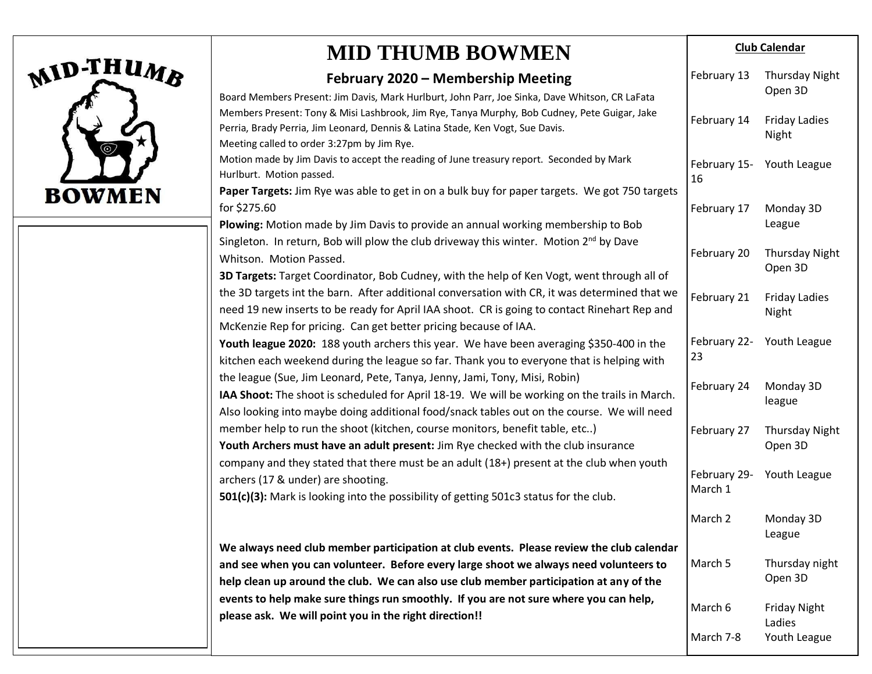

## **MID THUMB BOWMEN**

### **February 2020 – Membership Meeting**

| February 2020 - Membership Meeting                                                                                                                                                                                                                                        | February 13             | <b>Thursday Night</b>            |
|---------------------------------------------------------------------------------------------------------------------------------------------------------------------------------------------------------------------------------------------------------------------------|-------------------------|----------------------------------|
| Board Members Present: Jim Davis, Mark Hurlburt, John Parr, Joe Sinka, Dave Whitson, CR LaFata                                                                                                                                                                            |                         | Open 3D                          |
| Members Present: Tony & Misi Lashbrook, Jim Rye, Tanya Murphy, Bob Cudney, Pete Guigar, Jake<br>Perria, Brady Perria, Jim Leonard, Dennis & Latina Stade, Ken Vogt, Sue Davis.                                                                                            | February 14             | <b>Friday Ladies</b><br>Night    |
| Meeting called to order 3:27pm by Jim Rye.                                                                                                                                                                                                                                |                         |                                  |
| Motion made by Jim Davis to accept the reading of June treasury report. Seconded by Mark<br>Hurlburt. Motion passed.                                                                                                                                                      | February 15-<br>16      | Youth League                     |
| Paper Targets: Jim Rye was able to get in on a bulk buy for paper targets. We got 750 targets                                                                                                                                                                             |                         |                                  |
| for \$275.60                                                                                                                                                                                                                                                              | February 17             | Monday 3D                        |
| Plowing: Motion made by Jim Davis to provide an annual working membership to Bob                                                                                                                                                                                          |                         | League                           |
| Singleton. In return, Bob will plow the club driveway this winter. Motion 2 <sup>nd</sup> by Dave<br>Whitson. Motion Passed.                                                                                                                                              | February 20             | <b>Thursday Night</b><br>Open 3D |
| 3D Targets: Target Coordinator, Bob Cudney, with the help of Ken Vogt, went through all of                                                                                                                                                                                |                         |                                  |
| the 3D targets int the barn. After additional conversation with CR, it was determined that we<br>need 19 new inserts to be ready for April IAA shoot. CR is going to contact Rinehart Rep and                                                                             | February 21             | <b>Friday Ladies</b><br>Night    |
| McKenzie Rep for pricing. Can get better pricing because of IAA.                                                                                                                                                                                                          |                         |                                  |
| Youth league 2020: 188 youth archers this year. We have been averaging \$350-400 in the<br>kitchen each weekend during the league so far. Thank you to everyone that is helping with                                                                                      | February 22-<br>23      | Youth League                     |
| the league (Sue, Jim Leonard, Pete, Tanya, Jenny, Jami, Tony, Misi, Robin)<br>IAA Shoot: The shoot is scheduled for April 18-19. We will be working on the trails in March.<br>Also looking into maybe doing additional food/snack tables out on the course. We will need | February 24             | Monday 3D<br>league              |
| member help to run the shoot (kitchen, course monitors, benefit table, etc)<br>Youth Archers must have an adult present: Jim Rye checked with the club insurance                                                                                                          | February 27             | <b>Thursday Night</b><br>Open 3D |
| company and they stated that there must be an adult (18+) present at the club when youth<br>archers (17 & under) are shooting.<br>501(c)(3): Mark is looking into the possibility of getting 501c3 status for the club.                                                   | February 29-<br>March 1 | Youth League                     |
|                                                                                                                                                                                                                                                                           | March 2                 | Monday 3D<br>League              |
| We always need club member participation at club events. Please review the club calendar                                                                                                                                                                                  |                         |                                  |
| and see when you can volunteer. Before every large shoot we always need volunteers to                                                                                                                                                                                     | March 5                 | Thursday night                   |
| help clean up around the club. We can also use club member participation at any of the                                                                                                                                                                                    |                         | Open 3D                          |
| events to help make sure things run smoothly. If you are not sure where you can help,<br>please ask. We will point you in the right direction!!                                                                                                                           | March 6                 | <b>Friday Night</b><br>Ladies    |
|                                                                                                                                                                                                                                                                           | March 7-8               | Youth League                     |
|                                                                                                                                                                                                                                                                           |                         |                                  |

**Club Calendar**